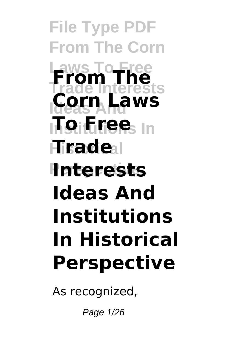**File Type PDF From The Corn Laws To Free Trade Interests Ideas And Corn Laws Institutions In To Free Hisade**al **P**nterests **From The Ideas And Institutions In Historical Perspective**

As recognized,

Page 1/26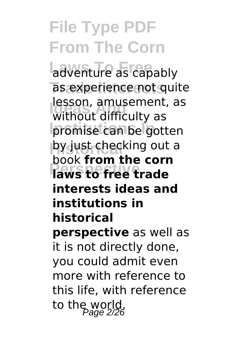adventure as capably as experience not quite **Ideas And** without difficulty as promise can be gotten **py just checking out a Paws to free trade** lesson, amusement, as book **from the corn interests ideas and institutions in historical perspective** as well as it is not directly done, you could admit even more with reference to this life, with reference to the world.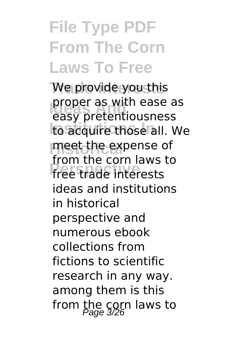## **File Type PDF From The Corn Laws To Free**

We provide you this **proper as with ease as** to acquire those all. We **Historical** meet the expense of **Pressure trade interests** easy pretentiousness from the corn laws to ideas and institutions in historical perspective and numerous ebook collections from fictions to scientific research in any way. among them is this from the corn laws to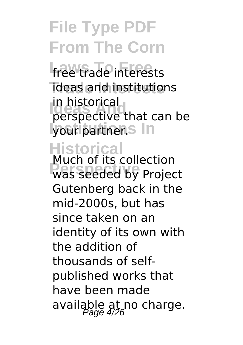free trade interests **Trade Interests** ideas and institutions In historical<br>perspective that can be **lyour partner.** In in historical

### **Historical**

**PRESPECTIVE TO A PROJECT** Much of its collection Gutenberg back in the mid-2000s, but has since taken on an identity of its own with the addition of thousands of selfpublished works that have been made available at no charge.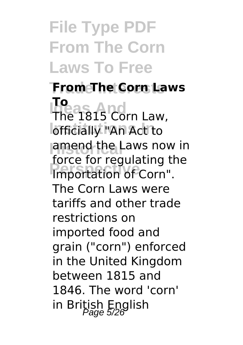**File Type PDF From The Corn Laws To Free**

**Trade Interests From The Corn Laws Ideas And** The 1815 Corn Law, **Iofficially "An Act to Lamend the Laws now in Processing**<br> **Proportation of Corn**". **To** force for regulating the The Corn Laws were tariffs and other trade restrictions on imported food and grain ("corn") enforced in the United Kingdom between 1815 and 1846. The word 'corn' in British English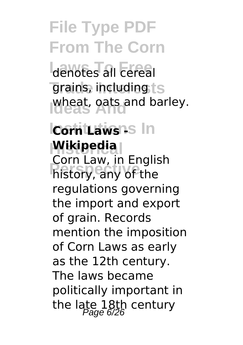denotes all cereal grains, including ts wheat, oats and barley.<br>Ideas

### **Icorn Laws 15 In Historical Wikipedia**

**Perspective** history, any of the Corn Law, in English regulations governing the import and export of grain. Records mention the imposition of Corn Laws as early as the 12th century. The laws became politically important in the late 18th century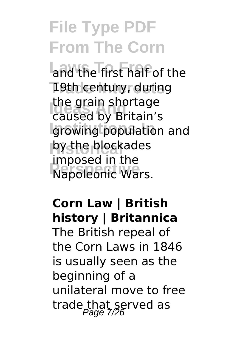and the first half of the **19th century, during Idde** grain shortage **Institutions In** growing population and **Historical** by the blockades **Napoleonic Wars.** caused by Britain's imposed in the

### **Corn Law | British history | Britannica**

The British repeal of the Corn Laws in 1846 is usually seen as the beginning of a unilateral move to free trade that served as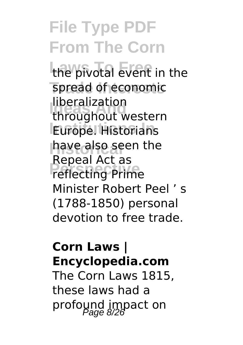**File Type PDF From The Corn** the pivotal event in the spread of economic **Ideas And** throughout western **Europe.** Historians **Historical** have also seen the **Perspective** reflecting Prime liberalization Repeal Act as Minister Robert Peel ' s (1788-1850) personal devotion to free trade.

#### **Corn Laws | Encyclopedia.com**

The Corn Laws 1815, these laws had a profound impact on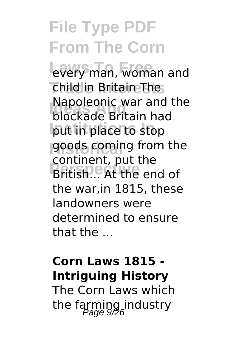every man, woman and **Trade Interests** child in Britain The **INAPOLEONIC WAT AND**<br>blockade Britain had **Institutions In** put in place to stop **Historical** goods coming from the **Perspective** British... At the end of Napoleonic war and the continent, put the the war,in 1815, these landowners were determined to ensure that the ...

### **Corn Laws 1815 - Intriguing History**

The Corn Laws which the farming industry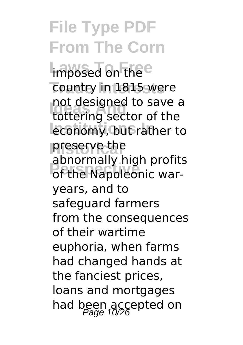imposed on the e country in 1815 were **Iddition**<br>tottering sector of the *<u>Ieconomy, but rather to</u>* **Historical** preserve the **Profit of the Napoleonic war**not designed to save a abnormally high profits years, and to safeguard farmers from the consequences of their wartime euphoria, when farms had changed hands at the fanciest prices, loans and mortgages had been accepted on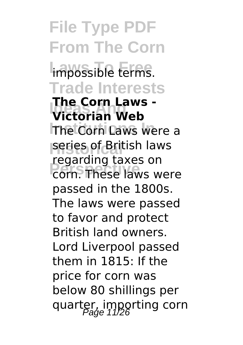**File Type PDF From The Corn Impossible terms. Trade Interests Ide Corn Laws**<br>**Victorian Web The Corn Laws were a Historical** series of British laws **Personally conservative The Corn Laws**  regarding taxes on passed in the 1800s. The laws were passed to favor and protect British land owners. Lord Liverpool passed them in 1815: If the price for corn was below 80 shillings per quarter, importing corn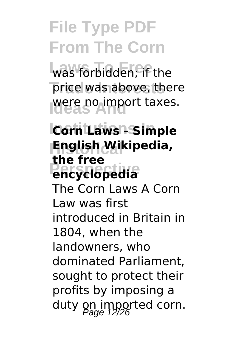was forbidden; if the price was above, there **Ideas** Amport taxes.

### *<u>Corn Laws - Simple</u>* **Historical English Wikipedia, Pencyclopedia the free**

The Corn Laws A Corn Law was first introduced in Britain in 1804, when the landowners, who dominated Parliament, sought to protect their profits by imposing a duty on imported corn.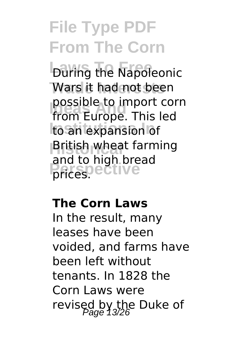**During the Napoleonic** Wars it had not been possible to import com<br>from Europe. This led to an expansion of **Historical** British wheat farming **Perspective** prices. possible to import corn and to high bread

#### **The Corn Laws**

In the result, many leases have been voided, and farms have been left without tenants. In 1828 the Corn Laws were revised by the Duke of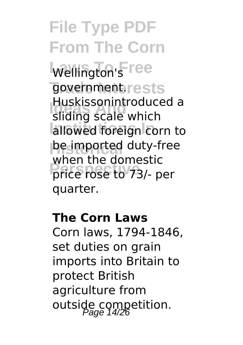**File Type PDF From The Corn** Wellington's ree government.rests **HUSKISSONINTOQUE** allowed foreign corn to **he imported** duty-free **Price rose to 73/- per** Huskissonintroduced a when the domestic quarter.

#### **The Corn Laws**

Corn laws, 1794-1846, set duties on grain imports into Britain to protect British agriculture from outside competition.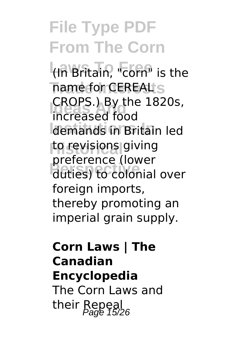**Laws To Free** (In Britain, "corn" is the name for CEREAL S **Ideas And** increased food demands in Britain led **Historical** to revisions giving **Perspective** duties) to colonial over CROPS.) By the 1820s, preference (lower foreign imports, thereby promoting an imperial grain supply.

### **Corn Laws | The Canadian Encyclopedia** The Corn Laws and their Repeal  $P_{\text{a}ae}$  15/26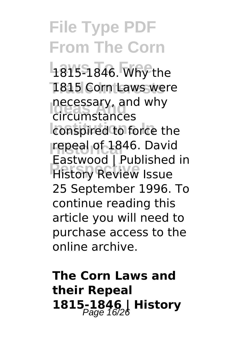### **File Type PDF From The Corn** 1815-1846. Why the 1815 Corn Laws were necessary, and<br>circumstances conspired to force the **Historical** repeal of 1846. David **Pulstice**<br> **Pristory Review Issue** necessary, and why Eastwood | Published in 25 September 1996. To continue reading this article you will need to purchase access to the online archive.

### **The Corn Laws and their Repeal 1815-1846 | History Page 16/26**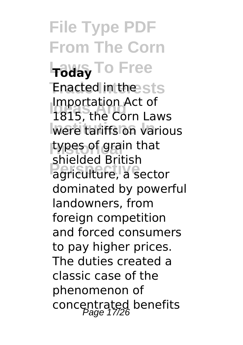**File Type PDF From The Corn Laws To Free Today Enacted in the sts Ideas And** 1815, the Corn Laws **Were tariffs on various Historical** types of grain that **Perspective** agriculture, a sector Importation Act of shielded British dominated by powerful landowners, from foreign competition and forced consumers to pay higher prices. The duties created a classic case of the phenomenon of concentrated benefits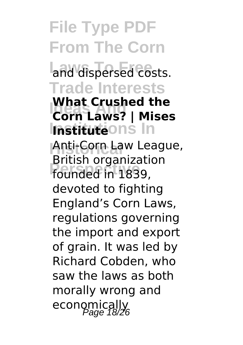**File Type PDF From The Corn** and dispersed costs. **Trade Interests Ideas And Corn Laws? | Mises Institutions In Institute Anti-Corn Law League, Perspective** founded in 1839, **What Crushed the** British organization devoted to fighting England's Corn Laws, regulations governing the import and export of grain. It was led by Richard Cobden, who saw the laws as both morally wrong and economically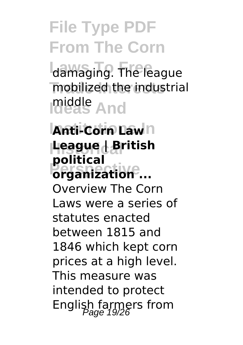damaging. The league **Trade Interests** mobilized the industrial **Ideas And** middle

### **Anti-Corn Law**<sub>n</sub> **Historical League | British Perspective organization ... political**

Overview The Corn Laws were a series of statutes enacted between 1815 and 1846 which kept corn prices at a high level. This measure was intended to protect English farmers from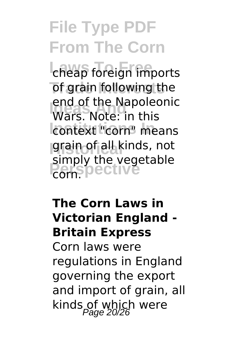cheap foreign imports of grain following the **Ideas And** Wars. Note: in this context "corn" means **Historical** grain of all kinds, not simply the vegetable<br>corn<sup>S</sup>PectIVe end of the Napoleonic corn.

### **The Corn Laws in Victorian England - Britain Express**

Corn laws were regulations in England governing the export and import of grain, all kinds of which were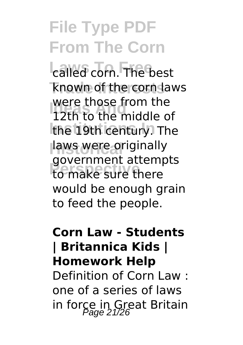**Lailed corn.** The best **Trade Interests** known of the corn laws **Ideas** and the middle of the 19th century. The **Historical** laws were originally **Perspective** to make sure there were those from the government attempts would be enough grain to feed the people.

### **Corn Law - Students | Britannica Kids | Homework Help** Definition of Corn Law : one of a series of laws in force in Great Britain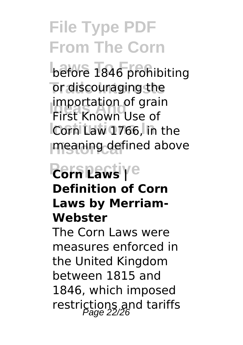before 1846 prohibiting or discouraging the **Importation of grand**<br>First Known Use of **Corn Law 1766, in the meaning defined above** importation of grain

### **Perspective Corn Laws | Definition of Corn Laws by Merriam-Webster**

The Corn Laws were measures enforced in the United Kingdom between 1815 and 1846, which imposed restrictions and tariffs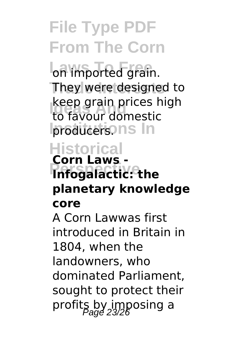on imported grain. They were designed to **Ideas** Keep grain prices re **Iproducersons** In keep grain prices high

### **Historical**

### **Perspective Infogalactic: the Corn Laws planetary knowledge core**

A Corn Lawwas first introduced in Britain in 1804, when the landowners, who dominated Parliament, sought to protect their profits by imposing a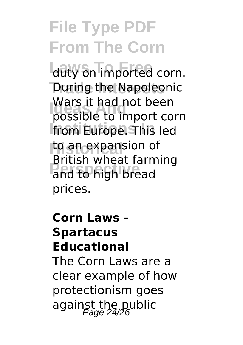duty on imported corn. **During the Napoleonic** wars it had not been<br>possible to import corn **Institutions In** from Europe. This led **Historical** to an expansion of **Perspective** and to high bread Wars it had not been British wheat farming prices.

### **Corn Laws - Spartacus Educational** The Corn Laws are a clear example of how protectionism goes against the public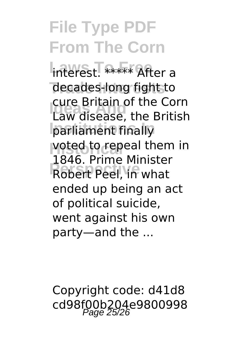interest. \*\*\*\*\* After a decades-long fight to **Law disease, the British Institutions In** parliament finally **voted to repeal them in Peel, in what** cure Britain of the Corn 1846. Prime Minister ended up being an act of political suicide, went against his own party—and the ...

Copyright code: d41d8 cd98f00b204e9800998